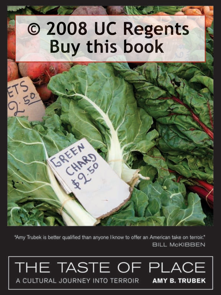# **[© 2008 UC Regents](http://www.ucpress.edu/books/pages/10672.php) Buy this book**



"Amy Trubek is better qualified than anyone I know to offer an American take on terroir." **BILL McKIBBEN** 

# THE TASTE OF PLACE A CULTURAL JOURNEY INTO TERROIR AMY B. TRUBEK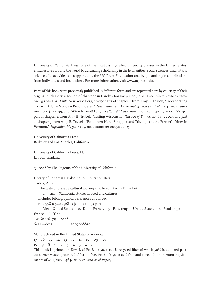University of California Press, one of the most distinguished university presses in the United States, enriches lives around the world by advancing scholarship in the humanities, social sciences, and natural sciences. Its activities are supported by the UC Press Foundation and by philanthropic contributions from individuals and institutions. For more information, visit www.ucpress.edu.

Parts of this book were previously published in different form and are reprinted here by courtesy of their original publishers: a section of chapter 1 in Carolyn Korsmeyer, ed., *The Taste/Culture Reader: Experiencing Food and Drink* (New York: Berg, 2005); parts of chapter 2 from Amy B. Trubek, "Incorporating *Terroir:* L'Affaire Mondavi Reconsidered," *Gastronomica: The Journal of Food and Culture* 4, no. 3 (summer 2004): 90–99, and "Wine Is Dead! Long Live Wine!" *Gastronomica* 6, no. 2 (spring 2006): 88–90; part of chapter 4 from Amy B. Trubek, "Tasting Wisconsin," *The Art of Eating,* no. 68 (2004); and part of chapter 5 from Amy B. Trubek, "Food from Here: Struggles and Triumphs at the Farmer's Diner in Vermont," *Expedition Magazine* 45, no. 2 (summer 2003): 22–25.

University of California Press Berkeley and Los Angeles, California

University of California Press, Ltd. London, England

© 2008 by The Regents of the University of California

```
Library of Congress Cataloging-in-Publication Data
Trubek, Amy B.
   The taste of place : a cultural journey into terroir / Amy B. Trubek.
     p. cm.—(California studies in food and culture)
  Includes bibliographical references and index.
  ISBN 978-0-520-25281-3 (cloth : alk. paper)
  1. Diet—United States. 2. Diet—France. 3. Food crops—United States. 4. Food crops—
France. I. Title.
TX360.U6T79 2008
641.3—dc22 2007008839
```
Manufactured in the United States of America

17 16 15 14 13 12 11 10 09 08 10 987654321

This book is printed on New Leaf EcoBook 50, a 100% recycled fiber of which 50% is de-inked postconsumer waste, processed chlorine-free. EcoBook 50 is acid-free and meets the minimum requirements of ANSI/ASTM D5634-01 *(Permanence of Paper).*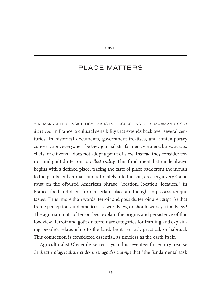#### **ONE**

# PLACE MATTERS

A REMARKABLE CONSISTENCY EXISTS IN DISCUSSIONS OF *TERROIR* AND *GOÛT du terroir* in France, a cultural sensibility that extends back over several centuries. In historical documents, government treatises, and contemporary conversation, everyone—be they journalists, farmers, vintners, bureaucrats, chefs, or citizens—does not adopt a point of view. Instead they consider terroir and goût du terroir to *reflect reality.* This fundamentalist mode always begins with a defined place, tracing the taste of place back from the mouth to the plants and animals and ultimately into the soil, creating a very Gallic twist on the oft-used American phrase "location, location, location." In France, food and drink from a certain place are thought to possess unique tastes. Thus, more than words, terroir and goût du terroir are *categories* that frame perceptions and practices—a worldview, or should we say a foodview? The agrarian roots of terroir best explain the origins and persistence of this foodview. Terroir and goût du terroir are categories for framing and explaining people's relationship to the land, be it sensual, practical, or habitual. This connection is considered essential, as timeless as the earth itself.

Agriculturalist Olivier de Serres says in his seventeenth-century treatise *Le theâtre d'agriculture et des mesnage des champs* that "the fundamental task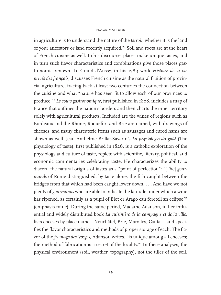in agriculture is to understand the nature of the *terroir,* whether it is the land of your ancestors or land recently acquired."1 Soil and roots are at the heart of French cuisine as well. In his discourse, places make unique tastes, and in turn such flavor characteristics and combinations give those places gastronomic renown. Le Grand d'Aussy, in his 1789 work *Histoire de la vie privée des français,* discusses French cuisine as the natural fruition of provincial agriculture, tracing back at least two centuries the connection between the cuisine and what "nature has seen fit to allow each of our provinces to produce."2 *Le cours gastronomique,* first published in 1808, includes a map of France that outlines the nation's borders and then charts the inner territory solely with agricultural products. Included are the wines of regions such as Bordeaux and the Rhone; Roquefort and Brie are named, with drawings of cheeses; and many charcuterie items such as sausages and cured hams are shown as well. Jean Anthelme Brillat-Savarin's *La physiologie du goût* (The physiology of taste), first published in 1826, is a catholic exploration of the physiology and culture of taste, replete with scientific, literary, political, and economic commentaries celebrating taste. He characterizes the ability to discern the natural origins of tastes as a "point of perfection": "[The] *gourmands* of Rome distinguished, by taste alone, the fish caught between the bridges from that which had been caught lower down.... And have we not plenty of *gourmands* who are able to indicate the latitude under which a wine has ripened, as certainly as a pupil of Biot or Arago can foretell an eclipse?" (emphasis mine). During the same period, Madame Adanson, in her influential and widely distributed book *La cuisinière de la campagne et de la ville,* lists cheeses by place name—Neuchâtel, Brie, Marolles, Cantal—and specifies the flavor characteristics and methods of proper storage of each. The flavor of the *fromage des Vosges,* Adanson writes, "is unique among all cheeses; the method of fabrication is a secret of the locality."3 In these analyses, the physical environment (soil, weather, topography), not the tiller of the soil,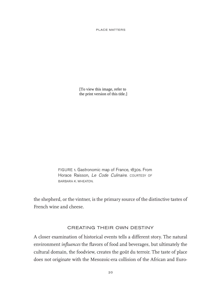[To view this image, refer to the print version of this title.]

FIGURE 1. Gastronomic map of France, 1830s. From Horace Raisson, *Le Code Culinaire*, COURTESY OF BARBARA K. WHEATON.

the shepherd, or the vintner, is the primary source of the distinctive tastes of French wine and cheese.

# CREATING THEIR OWN DESTINY

A closer examination of historical events tells a different story. The natural environment *influences* the flavors of food and beverages, but ultimately the cultural domain, the foodview, creates the goût du terroir. The taste of place does not originate with the Mesozoic-era collision of the African and Euro-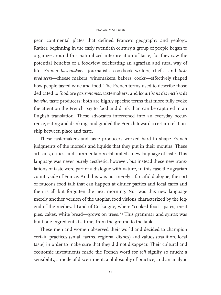pean continental plates that defined France's geography and geology. Rather, beginning in the early twentieth century a group of people began to organize around this naturalized interpretation of taste, for they saw the potential benefits of a foodview celebrating an agrarian and rural way of life. French *tastemakers*—journalists, cookbook writers, chefs—and *taste producers*—cheese makers, winemakers, bakers, cooks—effectively shaped how people tasted wine and food. The French terms used to describe those dedicated to food are *gastronomes,* tastemakers, and *les artisans des métiers de bouche,* taste producers; both are highly specific terms that more fully evoke the attention the French pay to food and drink than can be captured in an English translation. These advocates intervened into an everyday occurrence, eating and drinking, and guided the French toward a certain relationship between place and taste.

These tastemakers and taste producers worked hard to shape French judgments of the morsels and liquids that they put in their mouths. These artisans, critics, and commentators elaborated a new language of taste. This language was never purely aesthetic, however, but instead these new translations of taste were part of a dialogue with nature, in this case the agrarian countryside of France. And this was not merely a fanciful dialogue, the sort of raucous food talk that can happen at dinner parties and local cafés and then is all but forgotten the next morning. Nor was this new language merely another version of the utopian food visions characterized by the legend of the medieval Land of Cockaigne, where "cooked food—patés, meat pies, cakes, white bread—grows on trees."4 This grammar and syntax was built one ingredient at a time, from the ground to the table.

These men and women observed their world and decided to champion certain practices (small farms, regional dishes) and values (tradition, local taste) in order to make sure that they did not disappear. Their cultural and economic investments made the French word for *soil* signify so much: a sensibility, a mode of discernment, a philosophy of practice, and an analytic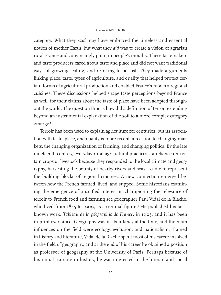category. What they *said* may have embraced the timeless and essential notion of mother Earth, but what they *did* was to create a vision of agrarian rural France and convincingly put it in people's mouths. These tastemakers and taste producers cared about taste and place and did not want traditional ways of growing, eating, and drinking to be lost. They made arguments linking place, taste, types of agriculture, and quality that helped protect certain forms of agricultural production and enabled France's modern regional cuisines. These discussions helped shape taste perceptions beyond France as well, for their claims about the taste of place have been adopted throughout the world. The question thus is how did a definition of terroir extending beyond an instrumental explanation of the soil to a more complex category emerge?

Terroir has been used to explain agriculture for centuries, but its association with taste, place, and quality is more recent, a reaction to changing markets, the changing organization of farming, and changing politics. By the late nineteenth century, everyday rural agricultural practices—a reliance on certain crops or livestock because they responded to the local climate and geography, harvesting the bounty of nearby rivers and seas—came to represent the building blocks of regional cuisines. A new connection emerged between how the French farmed, lived, and supped. Some historians examining the emergence of a unified interest in championing the relevance of terroir to French food and farming see geographer Paul Vidal de la Blache, who lived from 1845 to 1909, as a seminal figure.<sup>5</sup> He published his bestknown work, *Tableau de la géographie de France,* in 1903, and it has been in print ever since. Geography was in its infancy at the time, and the main influences on the field were ecology, evolution, and nationalism. Trained in history and literature, Vidal de la Blache spent most of his career involved in the field of geography, and at the end of his career he obtained a position as professor of geography at the University of Paris. Perhaps because of his initial training in history, he was interested in the human and social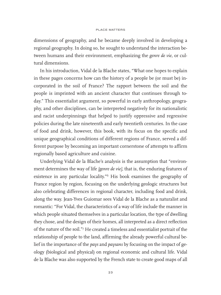dimensions of geography, and he became deeply involved in developing a regional geography. In doing so, he sought to understand the interaction between humans and their environment, emphasizing the *genre de vie,* or cultural dimensions.

In his introduction, Vidal de la Blache states, "What one hopes to explain in these pages concerns how can the history of a people be (or must be) incorporated in the soil of France? The rapport between the soil and the people is imprinted with an ancient character that continues through today." This essentialist argument, so powerful in early anthropology, geography, and other disciplines, can be interpreted negatively for its nationalistic and racist underpinnings that helped to justify oppressive and regressive policies during the late nineteenth and early twentieth centuries. In the case of food and drink, however, this book, with its focus on the specific and unique geographical conditions of different regions of France, served a different purpose by becoming an important cornerstone of attempts to affirm regionally based agriculture and cuisine.

Underlying Vidal de la Blache's analysis is the assumption that "environment determines the way of life *[genre de vie],* that is, the enduring features of existence in any particular locality."6 His book examines the geography of France region by region, focusing on the underlying geologic structures but also celebrating differences in regional character, including food and drink, along the way. Jean-Yves Guiomar sees Vidal de la Blache as a naturalist and romantic: "For Vidal, the characteristics of a way of life include the manner in which people situated themselves in a particular location, the type of dwelling they chose, and the design of their homes, all interpreted as a direct reflection of the nature of the soil."7 He created a timeless and essentialist portrait of the relationship of people to the land, affirming the already powerful cultural belief in the importance of the *pays* and *paysans* by focusing on the impact of geology (biological and physical) on regional economic and cultural life. Vidal de la Blache was also supported by the French state to create good maps of all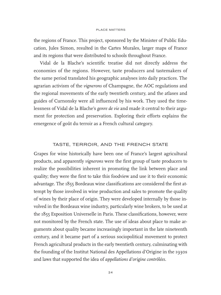the regions of France. This project, sponsored by the Minister of Public Education, Jules Simon, resulted in the Cartes Murales, larger maps of France and its regions that were distributed to schools throughout France.

Vidal de la Blache's scientific treatise did not directly address the economies of the regions. However, taste producers and tastemakers of the same period translated his geographic analyses into daily practices. The agrarian activism of the *vignerons* of Champagne, the AOC regulations and the regional movements of the early twentieth century, and the atlases and guides of Curnonsky were all influenced by his work. They used the timelessness of Vidal de la Blache's *genre de vie* and made it central to their argument for protection and preservation. Exploring their efforts explains the emergence of goût du terroir as a French cultural category.

### TASTE, TERROIR, AND THE FRENCH STATE

Grapes for wine historically have been one of France's largest agricultural products, and apparently *vignerons* were the first group of taste producers to realize the possibilities inherent in promoting the link between place and quality; they were the first to take this foodview and use it to their economic advantage. The 1855 Bordeaux wine classifications are considered the first attempt by those involved in wine production and sales to promote the quality of wines by their place of origin. They were developed internally by those involved in the Bordeaux wine industry, particularly wine brokers, to be used at the 1855 Exposition Universelle in Paris. These classifications, however, were not monitored by the French state. The use of ideas about place to make arguments about quality became increasingly important in the late nineteenth century, and it became part of a serious sociopolitical movement to protect French agricultural products in the early twentieth century, culminating with the founding of the Institut National des Appellations d'Origine in the 1930s and laws that supported the idea of *appellations d'origine contrôlées.*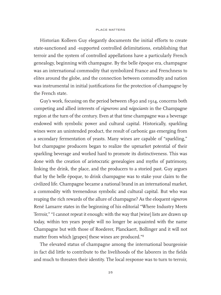Historian Kolleen Guy elegantly documents the initial efforts to create state-sanctioned and -supported controlled delimitations, establishing that terroir and the system of controlled appellations have a particularly French genealogy, beginning with champagne. By the belle époque era, champagne was an international commodity that symbolized France and Frenchness to elites around the globe, and the connection between commodity and nation was instrumental in initial justifications for the protection of champagne by the French state.

Guy's work, focusing on the period between 1890 and 1914, concerns both competing and allied interests of *vignerons* and *négociants* in the Champagne region at the turn of the century. Even at that time champagne was a beverage endowed with symbolic power and cultural capital. Historically, sparkling wines were an unintended product, the result of carbonic gas emerging from a secondary fermentation of yeasts. Many wines are capable of "sparkling," but champagne producers began to realize the upmarket potential of their sparkling beverage and worked hard to promote its distinctiveness. This was done with the creation of aristocratic genealogies and myths of patrimony, linking the drink, the place, and the producers to a storied past. Guy argues that by the belle époque, to drink champagne was to stake your claim to the civilized life. Champagne became a national brand in an international market, a commodity with tremendous symbolic and cultural capital. But who was reaping the rich rewards of the allure of champagne? As the eloquent *vigneron* René Lamarre states in the beginning of his editorial "Where Industry Meets Terroir," "I cannot repeat it enough: with the way that [wine] lists are drawn up today, within ten years people will no longer be acquainted with the name Champagne but with those of Roederer, Planckaert, Bollinger and it will not matter from which [grapes] these wines are produced."8

The elevated status of champagne among the international bourgeoisie in fact did little to contribute to the livelihoods of the laborers in the fields and much to threaten their identity. The local response was to turn to terroir,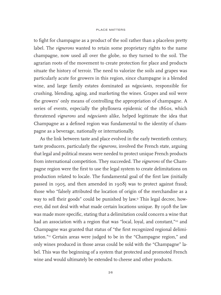to fight for champagne as a product of the soil rather than a placeless pretty label. The *vignerons* wanted to retain some proprietary rights to the name champagne, now used all over the globe, so they turned to the soil. The agrarian roots of the movement to create protection for place and products situate the history of terroir. The need to valorize the soils and grapes was particularly acute for growers in this region, since champagne is a blended wine, and large family estates dominated as *négociants,* responsible for crushing, blending, aging, and marketing the wines. Grapes and soil were the growers' only means of controlling the appropriation of champagne. A series of events, especially the phylloxera epidemic of the 1860s, which threatened *vignerons* and *négociants* alike, helped legitimate the idea that Champagne as a defined region was fundamental to the identity of champagne as a beverage, nationally or internationally.

As the link between taste and place evolved in the early twentieth century, taste producers, particularly the *vignerons,* involved the French state, arguing that legal and political means were needed to protect unique French products from international competition. They succeeded. The *vignerons* of the Champagne region were the first to use the legal system to create delimitations on production related to locale. The fundamental goal of the first law (initially passed in 1905, and then amended in 1908) was to protect against fraud; those who "falsely attributed the location of origin of the merchandise as a way to sell their goods" could be punished by law.9 This legal decree, however, did not deal with what made certain locations unique. By 1908 the law was made more specific, stating that a delimitation could concern a wine that had an association with a region that was "local, loyal, and constant,"<sup>10</sup> and Champagne was granted that status of "the first recognized regional delimitation."11 Certain areas were judged to be in the "Champagne region," and only wines produced in those areas could be sold with the "Champagne" label. This was the beginning of a system that protected and promoted French wine and would ultimately be extended to cheese and other products.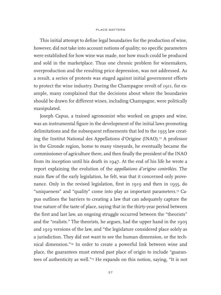This initial attempt to define legal boundaries for the production of wine, however, did not take into account notions of quality; no specific parameters were established for how wine was made, nor how much could be produced and sold in the marketplace. Thus one chronic problem for winemakers, overproduction and the resulting price depression, was not addressed. As a result, a series of protests was staged against initial government efforts to protect the wine industry. During the Champagne revolt of 1911, for example, many complained that the decisions about where the boundaries should be drawn for different wines, including Champagne, were politically manipulated.

Joseph Capus, a trained agronomist who worked on grapes and wine, was an instrumental figure in the development of the initial laws promoting delimitations and the subsequent refinements that led to the 1935 law creating the Institut National des Appellations d'Origine (INAO).12 A professor in the Gironde region, home to many vineyards, he eventually became the commissioner of agriculture there, and then finally the president of the INAO from its inception until his death in 1947. At the end of his life he wrote a report explaining the evolution of the *appellations d'origine contrôlées.* The main flaw of the early legislation, he felt, was that it concerned only provenance. Only in the revised legislation, first in 1919 and then in 1935, do "uniqueness" and "quality" come into play as important parameters.13 Capus outlines the barriers to creating a law that can adequately capture the true nature of the taste of place, saying that in the thirty-year period between the first and last law, an ongoing struggle occurred between the "theorists" and the "realists." The theorists, he argues, had the upper hand in the 1905 and 1919 versions of the law, and "the legislature considered place solely as a jurisdiction. They did not want to see the human dimension, or the technical dimension."14 In order to create a powerful link between wine and place, the guarantees must extend past place of origin to include "guarantees of authenticity as well."15 He expands on this notion, saying, "It is not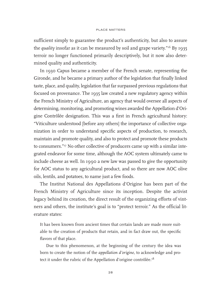sufficient simply to guarantee the product's authenticity, but also to assure the *quality* insofar as it can be measured by soil and grape variety."16 By 1935 terroir no longer functioned primarily descriptively, but it now also determined quality and authenticity.

In 1930 Capus became a member of the French senate, representing the Gironde, and he became a primary author of the legislation that finally linked taste, place, and quality, legislation that far surpassed previous regulations that focused on provenance. The 1935 law created a new regulatory agency within the French Ministry of Agriculture, an agency that would oversee all aspects of determining, monitoring, and promoting wines awarded the Appellation d'Origine Contrôlée designation. This was a first in French agricultural history: "Viticulture understood [before any others] the importance of collective organization in order to understand specific aspects of production, to research, maintain and promote quality, and also to protect and promote these products to consumers."<sup>17</sup> No other collective of producers came up with a similar integrated endeavor for some time, although the AOC system ultimately came to include cheese as well. In 1990 a new law was passed to give the opportunity for AOC status to any agricultural product, and so there are now AOC olive oils, lentils, and potatoes, to name just a few foods.

The Institut National des Appellations d'Origine has been part of the French Ministry of Agriculture since its inception. Despite the activist legacy behind its creation, the direct result of the organizing efforts of vintners and others, the institute's goal is to "protect terroir." As the official literature states:

It has been known from ancient times that certain lands are made more suitable to the creation of products that retain, and in fact draw out, the specific flavors of that place.

Due to this phenomenon, at the beginning of the century the idea was born to create the notion of the *appellation d'origine,* to acknowledge and protect it under the rubric of the Appellation d'origine contrôlée.<sup>18</sup>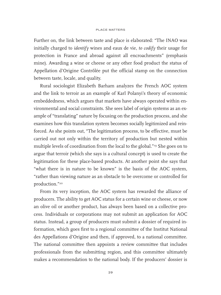Further on, the link between taste and place is elaborated: "The INAO was initially charged to *identify* wines and eaux de vie, *to codify* their usage for protection in France and abroad against all encroachments" (emphasis mine). Awarding a wine or cheese or any other food product the status of Appellation d'Origine Contrôlée put the official stamp on the connection between taste, locale, and quality.

Rural sociologist Elizabeth Barham analyzes the French AOC system and the link to terroir as an example of Karl Polanyi's theory of economic embeddedness, which argues that markets have always operated within environmental and social constraints. She sees label of origin systems as an example of "translating" nature by focusing on the production process, and she examines how this translation system becomes socially legitimized and reinforced. As she points out, "The legitimation process, to be effective, must be carried out not only within the territory of production but nested within multiple levels of coordination from the local to the global."19 She goes on to argue that terroir (which she says is a cultural concept) is used to create the legitimation for these place-based products. At another point she says that "what there is in nature to be known" is the basis of the AOC system, "rather than viewing nature as an obstacle to be overcome or controlled for production."20

From its very inception, the AOC system has rewarded the alliance of producers. The ability to get AOC status for a certain wine or cheese, or now an olive oil or another product, has always been based on a collective process. Individuals or corporations may not submit an application for AOC status. Instead, a group of producers must submit a dossier of required information, which goes first to a regional committee of the Institut National des Appellations d'Origine and then, if approved, to a national committee. The national committee then appoints a review committee that includes professionals from the submitting region, and this committee ultimately makes a recommendation to the national body. If the producers' dossier is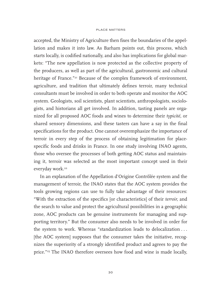accepted, the Ministry of Agriculture then fixes the boundaries of the appellation and makes it into law. As Barham points out, this process, which starts locally, is codified nationally, and also has implications for global markets: "The new appellation is now protected as the collective property of the producers, as well as part of the agricultural, gastronomic and cultural heritage of France."<sup>21</sup> Because of the complex framework of environment, agriculture, and tradition that ultimately defines terroir, many technical consultants must be involved in order to both operate and monitor the AOC system. Geologists, soil scientists, plant scientists, anthropologists, sociologists, and historians all get involved. In addition, tasting panels are organized for all proposed AOC foods and wines to determine their *typicité,* or shared sensory dimensions, and these tasters can have a say in the final specifications for the product. One cannot overemphasize the importance of terroir in every step of the process of obtaining legitimation for placespecific foods and drinks in France. In one study involving INAO agents, those who oversee the processes of both getting AOC status and maintaining it, terroir was selected as the most important concept used in their everyday work.<sup>22</sup>

In an explanation of the Appellation d'Origine Contrôlée system and the management of terroir, the INAO states that the AOC system provides the tools growing regions can use to fully take advantage of their resources: "With the extraction of the specifics [or characteristics] of their *terroir,* and the search to value and protect the agricultural possibilities in a geographic zone, AOC products can be genuine instruments for managing and supporting territory." But the consumer also needs to be involved in order for the system to work. Whereas "standardization leads to delocalization... [the AOC system] supposes that the consumer takes the initiative, recognizes the superiority of a strongly identified product and agrees to pay the price."23 The INAO therefore oversees how food and wine is made locally,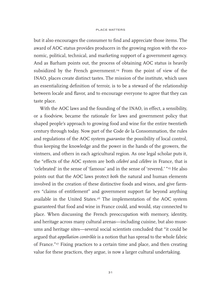but it also encourages the consumer to find and appreciate those items. The award of AOC status provides producers in the growing region with the economic, political, technical, and marketing support of a government agency. And as Barham points out, the process of obtaining AOC status is heavily subsidized by the French government.<sup>24</sup> From the point of view of the INAO, places create distinct tastes. The mission of the institute, which uses an essentializing definition of terroir, is to be a steward of the relationship between locale and flavor, and to encourage everyone to agree that they can taste place.

With the AOC laws and the founding of the INAO, in effect, a sensibility, or a foodview, became the rationale for laws and government policy that shaped people's approach to growing food and wine for the entire twentieth century through today. Now part of the Code de la Consommation, the rules and regulations of the AOC system *guarantee* the possibility of local control, thus keeping the knowledge and the power in the hands of the growers, the vintners, and others in each agricultural region. As one legal scholar puts it, the "effects of the AOC system are both *célebré* and *célèbre* in France, that is 'celebrated' in the sense of 'famous' and in the sense of 'revered.' "25 He also points out that the AOC laws protect *both* the natural and human elements involved in the creation of these distinctive foods and wines, and give farmers "claims of entitlement" and government support far beyond anything available in the United States.<sup>26</sup> The implementation of the AOC system guaranteed that food and wine in France could, and would, stay connected to place. When discussing the French preoccupation with memory, identity, and heritage across many cultural arenas—including cuisine, but also museums and heritage sites—several social scientists concluded that "it could be argued that *appellation contrôlée* is a notion that has spread to the whole fabric of France."27 Fixing practices to a certain time and place, and then creating value for these practices, they argue, is now a larger cultural undertaking.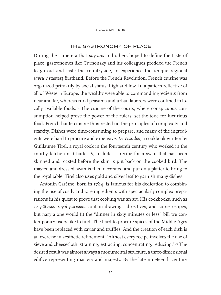# THE GASTRONOMY OF PLACE

During the same era that *paysans* and others hoped to define the taste of place, gastronomes like Curnonsky and his colleagues prodded the French to go out and taste the countryside, to experience the unique regional *saveurs* (tastes) firsthand. Before the French Revolution, French cuisine was organized primarily by social status: high and low. In a pattern reflective of all of Western Europe, the wealthy were able to command ingredients from near and far, whereas rural peasants and urban laborers were confined to locally available foods.<sup>28</sup> The cuisine of the courts, where conspicuous consumption helped prove the power of the rulers, set the tone for luxurious food. French haute cuisine thus rested on the principles of complexity and scarcity. Dishes were time-consuming to prepare, and many of the ingredients were hard to procure and expensive. *Le Viandier,* a cookbook written by Guillaume Tirel, a royal cook in the fourteenth century who worked in the courtly kitchen of Charles V, includes a recipe for a swan that has been skinned and roasted before the skin is put back on the cooked bird. The roasted and dressed swan is then decorated and put on a platter to bring to the royal table. Tirel also uses gold and silver leaf to garnish many dishes.

Antonin Carême, born in 1784, is famous for his dedication to combining the use of costly and rare ingredients with spectacularly complex preparations in his quest to prove that cooking was an art. His cookbooks, such as *Le pâtissier royal parisien,* contain drawings, directives, and some recipes, but nary a one would fit the "dinner in sixty minutes or less" bill we contemporary users like to find. The hard-to-procure spices of the Middle Ages have been replaced with caviar and truffles. And the creation of each dish is an exercise in aesthetic refinement: "Almost every recipe involves the use of sieve and cheesecloth, straining, extracting, concentrating, reducing."29 The desired result was almost always a monumental structure, a three-dimensional edifice representing mastery and majesty. By the late nineteenth century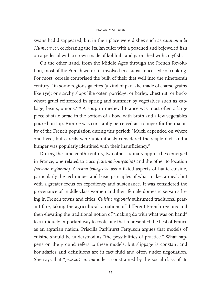swans had disappeared, but in their place were dishes such as *saumon à la Humbert 1er,* celebrating the Italian ruler with a poached and bejeweled fish on a pedestal with a crown made of kohlrabi and garnished with crayfish.

On the other hand, from the Middle Ages through the French Revolution, most of the French were still involved in a subsistence style of cooking. For most, cereals comprised the bulk of their diet well into the nineteenth century: "in some regions galettes (a kind of pancake made of coarse grains like rye); or starchy slops like oaten porridge; or barley, chestnut, or buckwheat gruel reinforced in spring and summer by vegetables such as cabbage, beans, onions."30 A soup in medieval France was most often a large piece of stale bread in the bottom of a bowl with broth and a few vegetables poured on top. Famine was constantly perceived as a danger for the majority of the French population during this period: "Much depended on where one lived, but cereals were ubiquitously considered the staple diet, and a hunger was popularly identified with their insufficiency."<sup>31</sup>

During the nineteenth century, two other culinary approaches emerged in France, one related to class *(cuisine bourgeoise)* and the other to location *(cuisine régionale). Cuisine bourgeoise* assimilated aspects of haute cuisine, particularly the techniques and basic principles of what makes a meal, but with a greater focus on expediency and sustenance. It was considered the provenance of middle-class women and their female domestic servants living in French towns and cities. *Cuisine régionale* subsumed traditional peasant fare, taking the agricultural variations of different French regions and then elevating the traditional notion of "making do with what was on hand" to a uniquely important way to cook, one that represented the best of France as an agrarian nation. Priscilla Parkhurst Ferguson argues that models of cuisine should be understood as "the possibilities of practice." What happens on the ground refers to these models, but slippage is constant and boundaries and definitions are in fact fluid and often under negotiation. She says that "*peasant cuisine* is less constrained by the social class of its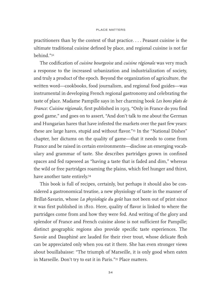practitioners than by the context of that practice....Peasant cuisine is the ultimate traditional cuisine defined by place, and regional cuisine is not far behind."32

The codification of *cuisine bourgeoise* and *cuisine régionale* was very much a response to the increased urbanization and industrialization of society, and truly a product of the epoch. Beyond the organization of agriculture, the written word—cookbooks, food journalism, and regional food guides—was instrumental in developing French regional gastronomy and celebrating the taste of place. Madame Pampille says in her charming book *Les bons plats de France: Cuisine régionale,* first published in 1913, "Only in France do you find good game," and goes on to assert, "And don't talk to me about the German and Hungarian hares that have infested the markets over the past few years: these are large hares, stupid and without flavor."33 In the "National Dishes" chapter, her dictums on the quality of game—that it needs to come from France and be raised in certain environments—disclose an emerging vocabulary and grammar of taste. She describes partridges grown in confined spaces and fed rapeseed as "having a taste that is faded and dim," whereas the wild or free partridges roaming the plains, which feel hunger and thirst, have another taste entirely.34

This book is full of recipes, certainly, but perhaps it should also be considered a gastronomical treatise, a new physiology of taste in the manner of Brillat-Savarin, whose *La physiologie du goût* has not been out of print since it was first published in 1810. Here, quality of flavor is linked to where the partridges come from and how they were fed. And writing of the glory and splendor of France and French cuisine alone is not sufficient for Pampille; distinct geographic regions also provide specific taste experiences. The Savoie and Dauphiné are lauded for their river trout, whose delicate flesh can be appreciated only when you eat it there. She has even stronger views about bouillabaisse: "The triumph of Marseille, it is only good when eaten in Marseille. Don't try to eat it in Paris."35 Place matters.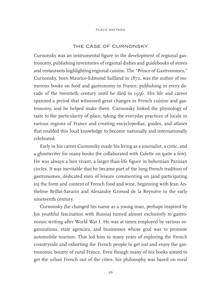# THE CASE OF CURNONSKY

Curnonsky was an instrumental figure in the development of regional gastronomy, publishing inventories of regional dishes and guidebooks of stores and restaurants highlighting regional cuisine. The "Prince of Gastronomes," Curnonsky, born Maurice-Edmond Sailland in 1872, was the author of numerous books on food and gastronomy in France, publishing in every decade of the twentieth century until he died in 1956. His life and career spanned a period that witnessed great changes in French cuisine and gastronomy, and he helped make them. Curnonsky linked the physiology of taste to the particularity of place, taking the everyday practices of locals in various regions of France and creating encyclopedias, guides, and atlases that enabled this local knowledge to become nationally and internationally celebrated.

Early in his career Curnonsky made his living as a journalist, a critic, and a ghostwriter for many books (he collaborated with Colette on quite a few). He was always a bon vivant, a larger-than-life figure in bohemian Parisian circles. It was inevitable that he became part of the long French tradition of gastronomes, dedicated men of leisure commenting on (and participating in) the form and content of French food and wine, beginning with Jean Anthelme Brillat-Savarin and Alexandre Grimod de la Reynière in the early nineteenth century.

Curnonsky (he changed his name as a young man, perhaps inspired by his youthful fascination with Russia) turned almost exclusively to gastronomic writing after World War I. He was at times employed by various organizations, state agencies, and businesses whose goal was to promote automobile tourism. This led him to many years of exploring the French countryside and exhorting the French people to get out and enjoy the gastronomic bounty of rural France. Even though many of his books aimed to get the urban French out of the cities, his philosophy was based on rural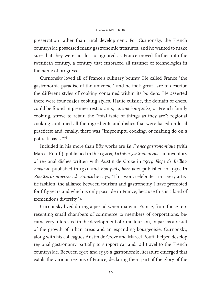preservation rather than rural development. For Curnonsky, the French countryside possessed many gastronomic treasures, and he wanted to make sure that they were not lost or ignored as France moved further into the twentieth century, a century that embraced all manner of technologies in the name of progress.

Curnonsky loved all of France's culinary bounty. He called France "the gastronomic paradise of the universe," and he took great care to describe the different styles of cooking contained within its borders. He asserted there were four major cooking styles. Haute cuisine, the domain of chefs, could be found in premier restaurants; *cuisine bourgeoise,* or French family cooking, strove to retain the "total taste of things as they are"; regional cooking contained all the ingredients and dishes that were based on local practices; and, finally, there was "impromptu cooking, or making do on a potluck basis."36

Included in his more than fifty works are *La France gastronomique* (with Marcel Rouff ), published in the 1920s; *Le trésor gastronomique,* an inventory of regional dishes written with Austin de Croze in 1933; *Eloge de Brillat-Savarin,* published in 1931; and *Bon plats, bons vins,* published in 1950. In *Recettes de provinces de France* he says, "This work celebrates, in a very artistic fashion, the alliance between tourism and gastronomy I have promoted for fifty years and which is only possible in France, because this is a land of tremendous diversity."37

Curnonsky lived during a period when many in France, from those representing small chambers of commerce to members of corporations, became very interested in the development of rural tourism, in part as a result of the growth of urban areas and an expanding bourgeoisie. Curnonsky, along with his colleagues Austin de Croze and Marcel Rouff, helped develop regional gastronomy partially to support car and rail travel to the French countryside. Between 1910 and 1930 a gastronomic literature emerged that extols the various regions of France, declaring them part of the glory of the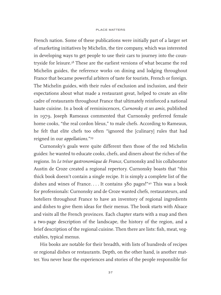French nation. Some of these publications were initially part of a larger set of marketing initiatives by Michelin, the tire company, which was interested in developing ways to get people to use their cars to journey into the countryside for leisure.38 These are the earliest versions of what became the red Michelin guides, the reference works on dining and lodging throughout France that became powerful arbiters of taste for tourists, French or foreign. The Michelin guides, with their rules of exclusion and inclusion, and their expectations about what made a restaurant great, helped to create an elite cadre of restaurants throughout France that ultimately reinforced a national haute cuisine. In a book of reminiscences, *Curnonsky et ses amis,* published in 1979, Joseph Rameaux commented that Curnonsky preferred female home cooks, "the real cordon bleus," to male chefs. According to Rameaux, he felt that elite chefs too often "ignored the [culinary] rules that had reigned in our *appellations*."39

Curnonsky's goals were quite different then those of the red Michelin guides: he wanted to educate cooks, chefs, and diners about the riches of the regions. In *Le trésor gastronomique de France,* Curnonsky and his collaborator Austin de Croze created a regional repertory. Curnonsky boasts that "this thick book doesn't contain a single recipe. It is simply a complete list of the dishes and wines of France.... It contains 380 pages!"<sup>40</sup> This was a book for professionals: Curnonsky and de Croze wanted chefs, restaurateurs, and hoteliers throughout France to have an inventory of regional ingredients and dishes to give them ideas for their menus. The book starts with Alsace and visits all the French provinces. Each chapter starts with a map and then a two-page description of the landscape, the history of the region, and a brief description of the regional cuisine. Then there are lists: fish, meat, vegetables, typical menus.

His books are notable for their breadth, with lists of hundreds of recipes or regional dishes or restaurants. Depth, on the other hand, is another matter. You never hear the experiences and stories of the people responsible for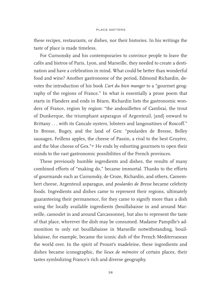these recipes, restaurants, or dishes, nor their histories. In his writings the taste of place is made timeless.

For Curnonsky and his contemporaries to convince people to leave the cafés and bistros of Paris, Lyon, and Marseille, they needed to create a destination and have a celebration in mind. What could be better than wonderful food and wine? Another gastronome of the period, Edmond Richardin, devotes the introduction of his book *L'art du bien manger* to a "gourmet geography of the regions of France." In what is essentially a prose poem that starts in Flanders and ends in Béarn, Richardin lists the gastronomic wonders of France, region by region: "the andouillettes of Cambrai, the trout of Dunkerque, the triumphant asparagus of Argenteuil, [and] onward to Brittany... with its Cancale oysters, lobsters and langoustines of Roscoff." In Bresse, Bugey, and the land of Gex: "poulardes de Bresse, Belley sausages, Feillens apples, the cheese of Passin, a rival to the best Gruyère, and the blue cheese of Gex."41 He ends by exhorting gourmets to open their minds to the vast gastronomic possibilities of the French provinces.

These previously humble ingredients and dishes, the results of many combined efforts of "making do," became immortal. Thanks to the efforts of gourmands such as Curnonsky, de Croze, Richardin, and others, Camembert cheese, Argenteuil asparagus, and *poulardes de Bresse* became celebrity foods. Ingredients and dishes came to represent their regions, ultimately guaranteeing their permanence, for they came to signify more than a dish using the locally available ingredients (bouillabaisse in and around Marseille, cassoulet in and around Carcassonne), but also to represent the taste of that place, wherever the dish may be consumed. Madame Pampille's admonition to only eat bouillabaisse in Marseille notwithstanding, bouillabaisse, for example, became the iconic dish of the French Mediterranean the world over. In the spirit of Proust's madeleine, these ingredients and dishes became iconographic, the *lieux de mémoire* of certain places, their tastes symbolizing France's rich and diverse geography.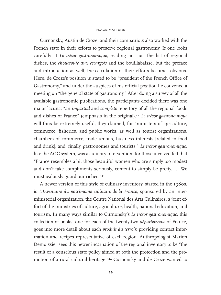Curnonsky, Austin de Croze, and their compatriots also worked with the French state in their efforts to preserve regional gastronomy. If one looks carefully at *Le trésor gastronomique,* reading not just the list of regional dishes, the *choucroute aux escargots* and the bouillabaisse, but the preface and introduction as well, the calculation of their efforts becomes obvious. Here, de Croze's position is stated to be "president of the French Office of Gastronomy," and under the auspices of his official position he convened a meeting on "the general state of gastronomy." After doing a survey of all the available gastronomic publications, the participants decided there was one major lacuna: "an *impartial* and *complete* repertory of all the regional foods and dishes of France" (emphasis in the original).42 *Le trésor gastronomique* will thus be extremely useful, they claimed, for "ministers of agriculture, commerce, fisheries, and public works, as well as tourist organizations, chambers of commerce, trade unions, business interests [related to food and drink], and, finally, gastronomes and tourists." *Le trésor gastronomique,* like the AOC system, was a culinary intervention, for those involved felt that "France resembles a bit those beautiful women who are simply too modest and don't take compliments seriously, content to simply be pretty. . . . We must jealously guard our riches."43

A newer version of this style of culinary inventory, started in the 1980s, is *L'Inventaire du patrimoine culinaire de la France,* sponsored by an interministerial organization, the Centre National des Arts Culinaires, a joint effort of the ministries of culture, agriculture, health, national education, and tourism. In many ways similar to Curnonsky's *Le trésor gastronomique,* this collection of books, one for each of the twenty-two *départements* of France, goes into more detail about each *produit du terroir,* providing contact information and recipes representative of each region. Anthropologist Marion Demoissier sees this newer incarnation of the regional inventory to be "the result of a conscious state policy aimed at both the protection and the promotion of a rural cultural heritage."44 Curnonsky and de Croze wanted to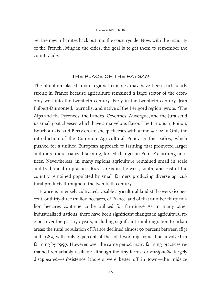get the new urbanites back out into the countryside. Now, with the majority of the French living in the cities, the goal is to get them to remember the countryside.

# THE PLACE OF THE *PAYSAN*

The attention placed upon regional cuisines may have been particularly strong in France because agriculture remained a large sector of the economy well into the twentieth century. Early in the twentieth century, Jean Fulbert-Dumonteil, journalist and native of the Périgord region, wrote, "The Alps and the Pyrenees, the Landes, Cevennes, Auvergne, and the Jura send us small goat cheeses which have a marvelous flavor. The Limousin, Poitou, Bourbonnais, and Berry create sheep cheeses with a fine *saveur.*"45 Only the introduction of the Common Agricultural Policy in the 1960s, which pushed for a unified European approach to farming that promoted larger and more industrialized farming, forced changes in France's farming practices. Nevertheless, in many regions agriculture remained small in scale and traditional in practice. Rural areas in the west, south, and east of the country remained populated by small farmers producing diverse agricultural products throughout the twentieth century.

France is intensely cultivated. Usable agricultural land still covers 60 percent, or thirty-three million hectares, of France, and of that number thirty million hectares continue to be utilized for farming.46 As in many other industrialized nations, there have been significant changes in agricultural regions over the past 150 years, including significant rural migration to urban areas: the rural population of France declined almost 50 percent between 1851 and 1982, with only 4 percent of the total working population involved in farming by 1997. However, over the same period many farming practices remained remarkably resilient: although the tiny farms, or *minifundia,* largely disappeared—subsistence laborers were better off in town—the midsize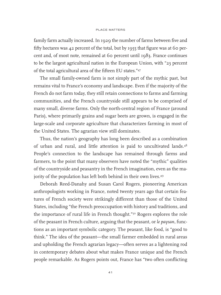family farm actually increased. In 1929 the number of farms between five and fifty hectares was 42 percent of the total, but by 1955 that figure was at 60 percent and, of most note, remained at 60 percent until 1983. France continues to be the largest agricultural nation in the European Union, with "23 percent of the total agricultural area of the fifteen EU states."47

The small family-owned farm is not simply part of the mythic past, but remains vital to France's economy and landscape. Even if the majority of the French do not farm today, they still retain connections to farms and farming communities, and the French countryside still appears to be comprised of many small, diverse farms. Only the north-central region of France (around Paris), where primarily grains and sugar beets are grown, is engaged in the large-scale and corporate agriculture that characterizes farming in most of the United States. The agrarian view still dominates.

Thus, the nation's geography has long been described as a combination of urban and rural, and little attention is paid to uncultivated lands.48 People's connection to the landscape has remained through farms and farmers, to the point that many observers have noted the "mythic" qualities of the countryside and peasantry in the French imagination, even as the majority of the population has left both behind in their own lives.<sup>49</sup>

Deborah Reed-Danahy and Susan Carol Rogers, pioneering American anthropologists working in France, noted twenty years ago that certain features of French society were strikingly different than those of the United States, including "the French preoccupation with history and traditions, and the importance of rural life in French thought."50 Rogers explores the role of the peasant in French culture, arguing that the peasant, or *le paysan,* functions as an important symbolic category. The peasant, like food, is "good to think." The idea of the peasant—the small farmer embedded in rural areas and upholding the French agrarian legacy—often serves as a lightening rod in contemporary debates about what makes France unique and the French people remarkable. As Rogers points out, France has "two often conflicting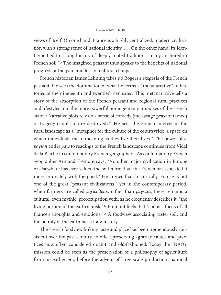views of itself. On one hand, France is a highly centralized, modern civilization with a strong sense of national identity. . . . On the other hand, its identity is tied to a long history of deeply rooted traditions, many anchored in French soil."<sup>51</sup> The imagined peasant thus speaks to the benefits of national progress or the pain and loss of cultural change.

French historian James Lehning takes up Rogers's exegesis of the French peasant. He sees the domination of what he terms a "metanarrative" in histories of the nineteenth and twentieth centuries. This metanarrative tells a story of the absorption of the French peasant and regional rural practices and lifestyles into the more powerful homogenizing impulses of the French state.52 Narrative plots rely on a sense of comedy (the savage peasant tamed) or tragedy (rural culture destroyed).53 He sees the French interest in the rural landscape as a "metaphor for the culture of the countryside, a space on which individuals make meaning as they live their lives." The power of *le paysan* and *le pays* to readings of the French landscape continues from Vidal de la Blache to contemporary French geographers. As contemporary French geographer Armand Fremont says, "No other major civilization in Europe or elsewhere has ever valued the soil more than the French or associated it more intimately with the good." He argues that, historically, France is but one of the great "peasant civilizations," yet in the contemporary period, when farmers are called *agriculteurs* rather than *paysans,* there remains a cultural, even mythic, preoccupation with, as he eloquently describes it, "the living portion of the earth's husk."54 Fremont feels that "soil is a focus of all France's thoughts and emotions."55 A foodview associating taste, soil, and the bounty of the earth has a long history.

The French foodview linking taste and place has been tremendously consistent over the past century, in effect preserving agrarian values and practices now often considered quaint and old-fashioned. Today the INAO's mission could be seen as the preservation of a philosophy of agriculture from an earlier era, before the advent of large-scale production, national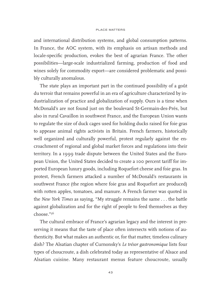and international distribution systems, and global consumption patterns. In France, the AOC system, with its emphasis on artisan methods and locale-specific production, evokes the best of agrarian France. The other possibilities—large-scale industrialized farming, production of food and wines solely for commodity export—are considered problematic and possibly culturally anomalous.

The state plays an important part in the continued possibility of a goût du terroir that remains powerful in an era of agriculture characterized by industrialization of practice and globalization of supply. Ours is a time when McDonald's are not found just on the boulevard St-Germain-des-Prés, but also in rural Cavaillon in southwest France, and the European Union wants to regulate the size of duck cages used for holding ducks raised for foie gras to appease animal rights activists in Britain. French farmers, historically well organized and culturally powerful, protest regularly against the encroachment of regional and global market forces and regulations into their territory. In a 1999 trade dispute between the United States and the European Union, the United States decided to create a 100 percent tariff for imported European luxury goods, including Roquefort cheese and foie gras. In protest, French farmers attacked a number of McDonald's restaurants in southwest France (the region where foie gras and Roquefort are produced) with rotten apples, tomatoes, and manure. A French farmer was quoted in the *New York Times* as saying, "My struggle remains the same... the battle against globalization and for the right of people to feed themselves as they choose."56

The cultural embrace of France's agrarian legacy and the interest in preserving it means that the taste of place often intersects with notions of authenticity. But what makes an authentic or, for that matter, timeless culinary dish? The Alsatian chapter of Curnonsky's *Le trésor gastronomique* lists four types of choucroute, a dish celebrated today as representative of Alsace and Alsatian cuisine. Many restaurant menus feature choucroute, usually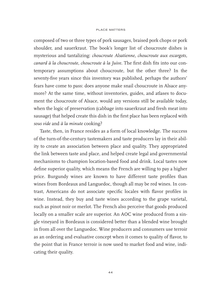composed of two or three types of pork sausages, braised pork chops or pork shoulder, and sauerkraut. The book's longer list of choucroute dishes is mysterious and tantalizing: *choucroute Alsatienne, choucroute aux escargots, canard à la choucroute, choucroute à la Juive.* The first dish fits into our contemporary assumptions about choucroute, but the other three? In the seventy-five years since this inventory was published, perhaps the authors' fears have come to pass: does anyone make snail choucroute in Alsace anymore? At the same time, without inventories, guides, and atlases to document the choucroute of Alsace, would any versions still be available today, when the logic of preservation (cabbage into sauerkraut and fresh meat into sausage) that helped create this dish in the first place has been replaced with *sous vide* and *à la minute* cooking?

Taste, then, in France resides as a form of local knowledge. The success of the turn-of-the-century tastemakers and taste producers lay in their ability to create an association between place and quality. They appropriated the link between taste and place, and helped create legal and governmental mechanisms to champion location-based food and drink. Local tastes now define superior quality, which means the French are willing to pay a higher price. Burgundy wines are known to have different taste profiles than wines from Bordeaux and Languedoc, though all may be red wines. In contrast, Americans do not associate specific locales with flavor profiles in wine. Instead, they buy and taste wines according to the grape varietal, such as pinot noir or merlot. The French also perceive that goods produced locally on a smaller scale are superior. An AOC wine produced from a single vineyard in Bordeaux is considered better than a blended wine brought in from all over the Languedoc. Wine producers and consumers use terroir as an ordering and evaluative concept when it comes to quality of flavor, to the point that in France terroir is now used to market food and wine, indicating their quality.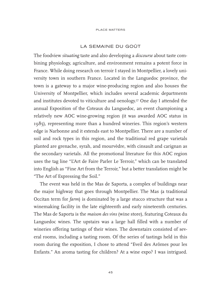# LA SEMAINE DU GOÛT

The foodview *situating* taste and also developing a *discourse* about taste combining physiology, agriculture, and environment remains a potent force in France. While doing research on terroir I stayed in Montpellier, a lovely university town in southern France. Located in the Languedoc province, the town is a gateway to a major wine-producing region and also houses the University of Montpellier, which includes several academic departments and institutes devoted to viticulture and oenology.57 One day I attended the annual Exposition of the Coteaux du Languedoc, an event championing a relatively new AOC wine-growing region (it was awarded AOC status in 1985), representing more than a hundred wineries. This region's western edge is Narbonne and it extends east to Montpellier. There are a number of soil and rock types in this region, and the traditional red grape varietals planted are grenache, syrah, and mourvèdre, with cinsault and carignan as the secondary varietals. All the promotional literature for this AOC region uses the tag line "L'Art de Faire Parler Le Terroir," which can be translated into English as "Fine Art from the Terroir," but a better translation might be "The Art of Expressing the Soil."

The event was held in the Mas de Saporta, a complex of buildings near the major highway that goes through Montpellier. The Mas (a traditional Occitan term for *farm*) is dominated by a large stucco structure that was a winemaking facility in the late eighteenth and early nineteenth centuries. The Mas de Saporta is the *maison des vins* (wine store), featuring Coteaux du Languedoc wines. The upstairs was a large hall filled with a number of wineries offering tastings of their wines. The downstairs consisted of several rooms, including a tasting room. Of the series of tastings held in this room during the exposition, I chose to attend "Eveil des Arômes pour les Enfants." An aroma tasting for children? At a wine expo? I was intrigued.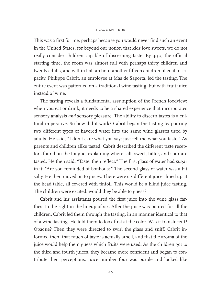This was a first for me, perhaps because you would never find such an event in the United States, for beyond our notion that kids love sweets, we do not really consider children capable of discerning taste. By 3:30, the official starting time, the room was almost full with perhaps thirty children and twenty adults, and within half an hour another fifteen children filled it to capacity. Philippe Cabrit, an employee at Mas de Saporta, led the tasting. The entire event was patterned on a traditional wine tasting, but with fruit juice instead of wine.

The tasting reveals a fundamental assumption of the French foodview: when you eat or drink, it needs to be a shared experience that incorporates sensory analysis *and* sensory pleasure. The ability to discern tastes is a cultural imperative. So how did it work? Cabrit began the tasting by pouring two different types of flavored water into the same wine glasses used by adults. He said, "I don't care what you say; just tell me what you taste." As parents and children alike tasted, Cabrit described the different taste receptors found on the tongue, explaining where salt, sweet, bitter, and sour are tasted. He then said, "Taste, then reflect." The first glass of water had sugar in it: "Are you reminded of bonbons?" The second glass of water was a bit salty. He then moved on to juices. There were six different juices lined up at the head table, all covered with tinfoil. This would be a blind juice tasting. The children were excited: would they be able to guess?

Cabrit and his assistants poured the first juice into the wine glass farthest to the right in the lineup of six. After the juice was poured for all the children, Cabrit led them through the tasting, in an manner identical to that of a wine tasting. He told them to look first at the color. Was it translucent? Opaque? Then they were directed to swirl the glass and sniff. Cabrit informed them that much of taste is actually smell, and that the aroma of the juice would help them guess which fruits were used. As the children got to the third and fourth juices, they became more confident and began to contribute their perceptions. Juice number four was purple and looked like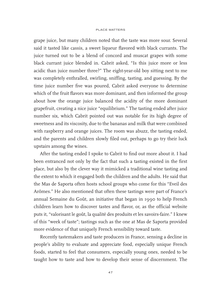grape juice, but many children noted that the taste was more sour. Several said it tasted like cassis, a sweet liqueur flavored with black currants. The juice turned out to be a blend of concord and muscat grapes with some black currant juice blended in. Cabrit asked, "Is this juice more or less acidic than juice number three?" The eight-year-old boy sitting next to me was completely enthralled, swirling, sniffing, tasting, and guessing. By the time juice number five was poured, Cabrit asked everyone to determine which of the fruit flavors was more dominant, and then informed the group about how the orange juice balanced the acidity of the more dominant grapefruit, creating a nice juice "equilibrium." The tasting ended after juice number six, which Cabrit pointed out was notable for its high degree of sweetness and its viscosity, due to the bananas and milk that were combined with raspberry and orange juices. The room was abuzz, the tasting ended, and the parents and children slowly filed out, perhaps to go try their luck upstairs among the wines.

After the tasting ended I spoke to Cabrit to find out more about it. I had been entranced not only by the fact that such a tasting existed in the first place, but also by the clever way it mimicked a traditional wine tasting and the extent to which it engaged both the children and the adults. He said that the Mas de Saporta often hosts school groups who come for this "Eveil des Arômes." He also mentioned that often these tastings were part of France's annual Semaine du Goût, an initiative that began in 1990 to help French children learn how to discover tastes and flavor, or, as the official website puts it, "valorisant le goût, la qualité des produits et les savoirs-faire." I knew of this "week of taste"; tastings such as the one at Mas de Saporta provided more evidence of that uniquely French sensibility toward taste.

Recently tastemakers and taste producers in France, sensing a decline in people's ability to evaluate and appreciate food, especially unique French foods, started to feel that consumers, especially young ones, needed to be taught how to taste and how to develop their sense of discernment. The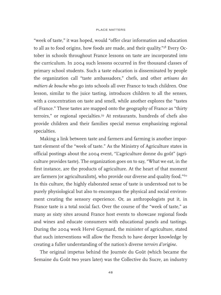"week of taste," it was hoped, would "offer clear information and education to all as to food origins, how foods are made, and their quality."58 Every October in schools throughout France lessons on taste are incorporated into the curriculum. In 2004 such lessons occurred in five thousand classes of primary school students. Such a taste education is disseminated by people the organization call "taste ambassadors," chefs, and other *artisans des métiers de bouche* who go into schools all over France to teach children. One lesson, similar to the juice tasting, introduces children to all the senses, with a concentration on taste and smell, while another explores the "tastes of France." These tastes are mapped onto the geography of France as "thirty terroirs," or regional specialties.59 At restaurants, hundreds of chefs also provide children and their families special menus emphasizing regional specialties.

Making a link between taste and farmers and farming is another important element of the "week of taste." As the Ministry of Agriculture states in official postings about the 2004 event, "L'agriculture donne du goût" (agriculture provides taste). The organization goes on to say, "What we eat, in the first instance, are the products of agriculture. At the heart of that moment are farmers [or agriculturalists], who provide our diverse and quality food."60 In this culture, the highly elaborated sense of taste is understood not to be purely physiological but also to encompass the physical and social environment creating the sensory experience. Or, as anthropologists put it, in France taste is a total social fact. Over the course of the "week of taste," as many as sixty sites around France host events to showcase regional foods and wines and educate consumers with educational panels and tastings. During the 2004 week Hervé Gaymard, the minister of agriculture, stated that such interventions will allow the French to have deeper knowledge by creating a fuller understanding of the nation's diverse *terroirs d'origine.*

The original impetus behind the Journée du Goût (which became the Semaine du Goût two years later) was the Collective du Sucre, an industry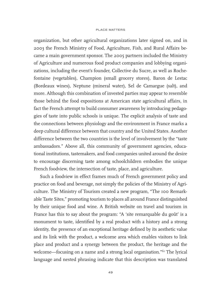organization, but other agricultural organizations later signed on, and in 2003 the French Ministry of Food, Agriculture, Fish, and Rural Affairs became a main government sponsor. The 2005 partners included the Ministry of Agriculture and numerous food product companies and lobbying organizations, including the event's founder, Collective du Sucre, as well as Rochefontaine (vegetables), Champion (small grocery stores), Baron de Lestac (Bordeaux wines), Neptune (mineral water), Sel de Camargue (salt), and more. Although this combination of invested parties may appear to resemble those behind the food expositions at American state agricultural affairs, in fact the French attempt to build consumer awareness by introducing pedagogies of taste into public schools is unique. The explicit analysis of taste and the connections between physiology and the environment in France marks a deep cultural difference between that country and the United States. Another difference between the two countries is the level of involvement by the "taste ambassadors." Above all, this community of government agencies, educational institutions, tastemakers, and food companies united around the desire to encourage discerning taste among schoolchildren embodies the unique French foodview, the intersection of taste, place, and agriculture.

Such a foodview in effect frames much of French government policy and practice on food and beverage, not simply the policies of the Ministry of Agriculture. The Ministry of Tourism created a new program, "The 100 Remarkable Taste Sites," promoting tourism to places all around France distinguished by their unique food and wine. A British website on travel and tourism in France has this to say about the program: "A 'site remarquable du goût' is a monument to taste, identified by a real product with a history and a strong identity, the presence of an exceptional heritage defined by its aesthetic value and its link with the product, a welcome area which enables visitors to link place and product and a synergy between the product, the heritage and the welcome—focusing on a name and a strong local organisation."<sup>61</sup> The lyrical language and nested phrasing indicate that this description was translated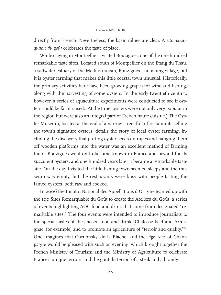directly from French. Nevertheless, the basic values are clear. A *site remarquable du goût* celebrates the taste of place.

While staying in Montpellier I visited Bouzigues, one of the one hundred remarkable taste sites. Located south of Montpellier on the Etang du Thau, a saltwater estuary of the Mediterranean, Bouzigues is a fishing village, but it is oyster farming that makes this little coastal town unusual. Historically, the primary activities here have been growing grapes for wine and fishing, along with the harvesting of some oysters. In the early twentieth century, however, a series of aquaculture experiments were conducted to see if oysters could be farm raised. (At the time, oysters were not only very popular in the region but were also an integral part of French haute cuisine.) The Oyster Museum, located at the end of a narrow street full of restaurants selling the town's signature oysters, details the story of local oyster farming, including the discovery that putting oyster seeds on ropes and hanging them off wooden platforms into the water was an excellent method of farming them. Bouzigues went on to become known in France and beyond for its succulent oysters, and one hundred years later it became a remarkable taste site. On the day I visited the little fishing town seemed sleepy and the museum was empty, but the restaurants were busy with people tasting the famed oysters, both raw and cooked.

In 2006 the Institut National des Appellations d'Origine teamed up with the 100 Sites Remarquable du Goût to create the Ateliers du Goût, a series of events highlighting AOC food and drink that come from designated "remarkable sites." The four events were intended to introduce journalists to the special tastes of the chosen food and drink (Chalosse beef and Armagnac, for example) and to promote an agriculture of "terroir and quality."62 One imagines that Curnonsky, de la Blache, and the *vignerons* of Champagne would be pleased with such an evening, which brought together the French Ministry of Tourism and the Ministry of Agriculture to celebrate France's unique terroirs and the goût du terroir of a steak and a brandy.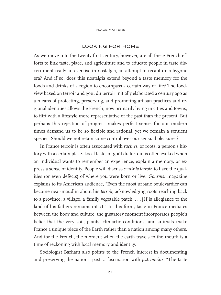# LOOKING FOR HOME

As we move into the twenty-first century, however, are all these French efforts to link taste, place, and agriculture and to educate people in taste discernment really an exercise in nostalgia, an attempt to recapture a bygone era? And if so, does this nostalgia extend beyond a taste memory for the foods and drinks of a region to encompass a certain way of life? The foodview based on terroir and goût du terroir initially elaborated a century ago as a means of protecting, preserving, and promoting artisan practices and regional identities allows the French, now primarily living in cities and towns, to flirt with a lifestyle more representative of the past than the present. But perhaps this rejection of progress makes perfect sense, for our modern times demand us to be so flexible and rational, yet we remain a sentient species. Should we not retain some control over our sensual pleasures?

In France terroir is often associated with *racines,* or roots, a person's history with a certain place. Local taste, or goût du terroir, is often evoked when an individual wants to remember an experience, explain a memory, or express a sense of identity. People will discuss *sentir le terroir,* to have the qualities (or even defects) of where you were born or live. *Gourmet* magazine explains to its American audience, "Even the most urbane boulevardier can become near-maudlin about his *terroir,* acknowledging roots reaching back to a province, a village, a family vegetable patch.... [H]is allegiance to the land of his fathers remains intact." In this form, taste in France mediates between the body and culture: the gustatory moment incorporates people's belief that the very soil, plants, climactic conditions, and animals make France a unique piece of the Earth rather than a nation among many others. And for the French, the moment when the earth travels to the mouth is a time of reckoning with local memory and identity.

Sociologist Barham also points to the French interest in documenting and preserving the nation's past, a fascination with *patrimoine:* "The taste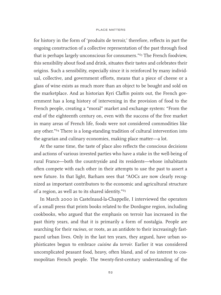for history in the form of 'produits de terroir,' therefore, reflects in part the ongoing construction of a collective representation of the past through food that is perhaps largely unconscious for consumers."63 The French foodview, this sensibility about food and drink, situates their tastes and celebrates their origins. Such a sensibility, especially since it is reinforced by many individual, collective, and government efforts, means that a piece of cheese or a glass of wine exists as much more than an object to be bought and sold on the marketplace. And as historian Kyri Claflin points out, the French government has a long history of intervening in the provision of food to the French people, creating a "moral" market and exchange system: "From the end of the eighteenth century on, even with the success of the free market in many areas of French life, foods were not considered commodities like any other."64 There is a long-standing tradition of cultural intervention into the agrarian and culinary economies, making place matter—a lot.

At the same time, the taste of place also reflects the conscious decisions and actions of various invested parties who have a stake in the well-being of rural France—both the countryside and its residents—whose inhabitants often compete with each other in their attempts to use the past to assert a new future. In that light, Barham sees that "AOCs are now clearly recognized as important contributors to the economic and agricultural structure of a region, as well as to its shared identity."65

In March 2000 in Castelnaud-la-Chappelle, I interviewed the operators of a small press that prints books related to the Dordogne region, including cookbooks, who argued that the emphasis on terroir has increased in the past thirty years, and that it is primarily a form of nostalgia. People are searching for their *racines,* or roots, as an antidote to their increasingly fastpaced urban lives. Only in the last ten years, they argued, have urban sophisticates begun to embrace *cuisine du terroir.* Earlier it was considered uncomplicated peasant food, heavy, often bland, and of no interest to cosmopolitan French people. The twenty-first-century understanding of the